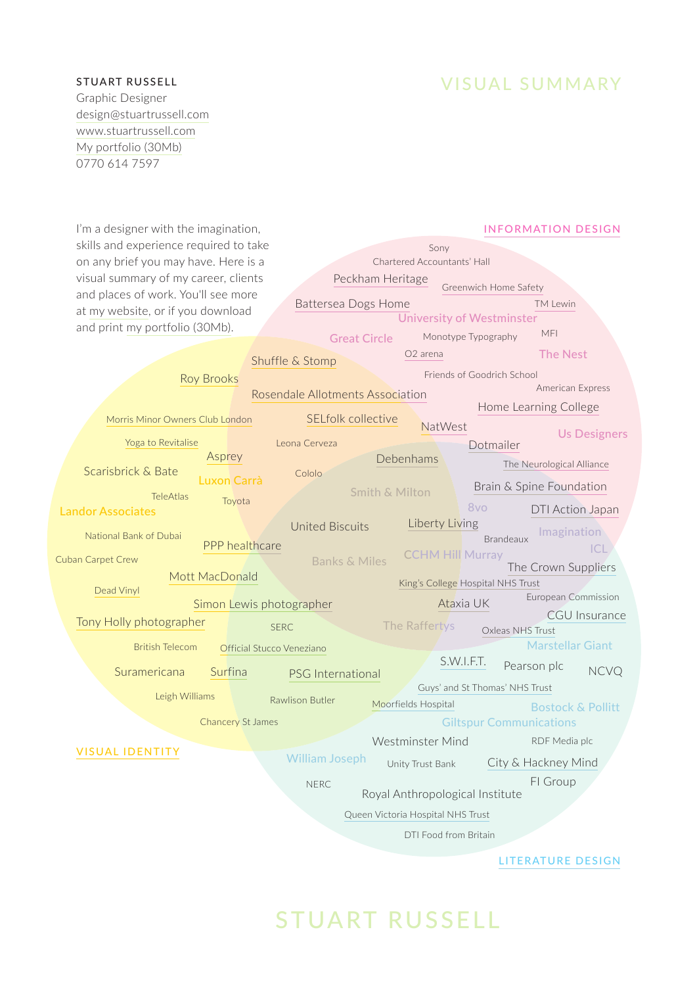VISUAL SUMMARY

Graphic Designer [design@stuartrussell.com](mailto:design@stuartrussell.com) [www.stuartrussell.com](http://www.stuartrussell.com) [My portfolio \(30Mb\)](https://stuartrussell2.files.wordpress.com/2017/02/stuart_russell_300dpi_portfolio_2017-02-28.pdf) 0770 614 7597

| I'm a designer with the imagination,                | <b>INFORMATION DESIGN</b>        |                                 |                         |                                   |                              |                      |
|-----------------------------------------------------|----------------------------------|---------------------------------|-------------------------|-----------------------------------|------------------------------|----------------------|
| skills and experience required to take              | Sony                             |                                 |                         |                                   |                              |                      |
| on any brief you may have. Here is a                | Chartered Accountants' Hall      |                                 |                         |                                   |                              |                      |
| visual summary of my career, clients                |                                  | Peckham Heritage                |                         |                                   |                              |                      |
| and places of work. You'll see more                 |                                  |                                 |                         | Greenwich Home Safety             |                              |                      |
| at my website, or if you download                   | Battersea Dogs Home              |                                 |                         | <b>University of Westminster</b>  | <b>TM Lewin</b>              |                      |
| and print my portfolio (30Mb).                      |                                  |                                 |                         |                                   | MFI                          |                      |
|                                                     |                                  | <b>Great Circle</b>             |                         | Monotype Typography               |                              |                      |
|                                                     | Shuffle & Stomp                  |                                 | O <sub>2</sub> arena    |                                   | <b>The Nest</b>              |                      |
| <b>Roy Brooks</b>                                   |                                  |                                 |                         | Friends of Goodrich School        |                              |                      |
|                                                     | Rosendale Allotments Association |                                 |                         |                                   | American Express             |                      |
|                                                     |                                  |                                 |                         |                                   | Home Learning College        |                      |
| Morris Minor Owners Club London                     | SELfolk collective               |                                 | NatWest                 |                                   |                              | <b>Us Designers</b>  |
| Yoga to Revitalise                                  | Leona Cerveza                    |                                 |                         | Dotmailer                         |                              |                      |
| Asprey                                              |                                  | Debenhams                       |                         |                                   | The Neurological Alliance    |                      |
| Scarisbrick & Bate<br>Luxon Carrà                   | Cololo                           |                                 |                         |                                   |                              |                      |
| <b>TeleAtlas</b><br>Toyota                          |                                  | <b>Smith &amp; Milton</b>       |                         | Brain & Spine Foundation          |                              |                      |
| <b>Landor Associates</b>                            |                                  |                                 |                         | 8vo                               | DTI Action Japan             |                      |
|                                                     | <b>United Biscuits</b>           |                                 | Liberty Living          |                                   | Imagination                  |                      |
| National Bank of Dubai<br>PPP healthcare            |                                  |                                 |                         | <b>Brandeaux</b>                  |                              | CL                   |
| Cuban Carpet Crew                                   | <b>Banks &amp; Miles</b>         |                                 | <b>CCHM Hill Murray</b> |                                   | The Crown Suppliers          |                      |
| Mott MacDonald                                      |                                  |                                 |                         | King's College Hospital NHS Trust |                              |                      |
| Dead Vinyl                                          |                                  |                                 |                         |                                   | European Commission          |                      |
| Simon Lewis photographer                            |                                  |                                 | Ataxia UK               |                                   |                              | <b>CGU</b> Insurance |
| Tony Holly photographer                             | <b>SERC</b>                      |                                 | The Raffertys           | Oxleas NHS Trust                  |                              |                      |
| <b>British Telecom</b><br>Official Stucco Veneziano |                                  |                                 |                         |                                   | <b>Marstellar Giant</b>      |                      |
|                                                     |                                  |                                 | S.W.I.F.T.              |                                   | Pearson plc                  |                      |
| Suramericana<br>Surfina                             | PSG International                |                                 |                         |                                   |                              | <b>NCVQ</b>          |
| Leigh Williams                                      | Rawlison Butler                  |                                 |                         | Guys' and St Thomas' NHS Trust    |                              |                      |
|                                                     |                                  | Moorfields Hospital             |                         |                                   | <b>Bostock &amp; Pollitt</b> |                      |
| <b>Chancery St James</b>                            |                                  |                                 |                         | <b>Giltspur Communications</b>    |                              |                      |
| <b>VISUAL IDENTITY</b>                              |                                  |                                 | Westminster Mind        |                                   | RDF Media plc                |                      |
|                                                     | <b>William Joseph</b>            |                                 | Unity Trust Bank        |                                   | City & Hackney Mind          |                      |
|                                                     | <b>NERC</b>                      |                                 |                         |                                   | FI Group                     |                      |
|                                                     |                                  | Royal Anthropological Institute |                         |                                   |                              |                      |
| Queen Victoria Hospital NHS Trust                   |                                  |                                 |                         |                                   |                              |                      |
|                                                     | DTI Food from Britain            |                                 |                         |                                   |                              |                      |
|                                                     |                                  |                                 |                         |                                   |                              |                      |
|                                                     |                                  |                                 |                         |                                   | LITERATURE DESIGN            |                      |

# STUART RUSSELL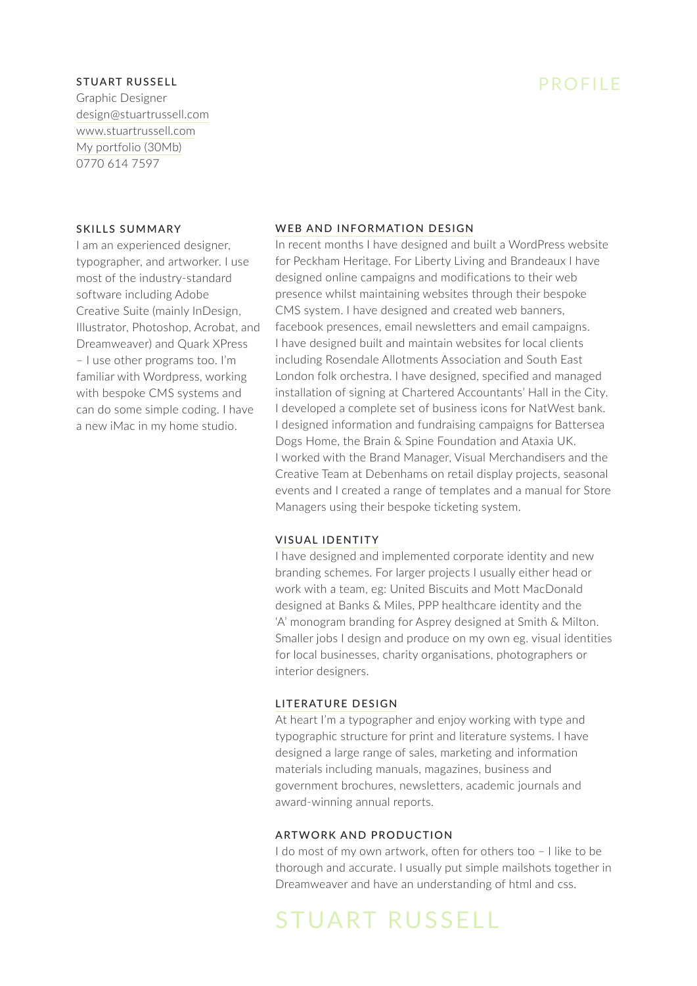Graphic Designer [design@stuartrussell.com](mailto:design@stuartrussell.com) [www.stuartrussell.com](http://www.stuartrussell.com) [My portfolio \(30Mb\)](https://stuartrussell2.files.wordpress.com/2017/02/stuart_russell_300dpi_portfolio_2017-02-28.pdf) 0770 614 7597

#### SKILLS SUMMARY

I am an experienced designer, typographer, and artworker. I use most of the industry-standard software including Adobe Creative Suite (mainly InDesign, Illustrator, Photoshop, Acrobat, and Dreamweaver) and Quark XPress – I use other programs too. I'm familiar with Wordpress, working with bespoke CMS systems and can do some simple coding. I have a new iMac in my home studio.

## PROFILE

#### [WEB AND INFORMATION DESIGN](https://stuartrussell2.wordpress.com/project-type/information-design/)

In recent months I have designed and built a WordPress website for Peckham Heritage. For Liberty Living and Brandeaux I have designed online campaigns and modifications to their web presence whilst maintaining websites through their bespoke CMS system. I have designed and created web banners, facebook presences, email newsletters and email campaigns. I have designed built and maintain websites for local clients including Rosendale Allotments Association and South East London folk orchestra. I have designed, specified and managed installation of signing at Chartered Accountants' Hall in the City. I developed a complete set of business icons for NatWest bank. I designed information and fundraising campaigns for Battersea Dogs Home, the Brain & Spine Foundation and Ataxia UK. I worked with the Brand Manager, Visual Merchandisers and the Creative Team at Debenhams on retail display projects, seasonal events and I created a range of templates and a manual for Store Managers using their bespoke ticketing system.

#### [VISUAL IDENTITY](https://stuartrussell2.wordpress.com/project-type/visual-identity/)

I have designed and implemented corporate identity and new branding schemes. For larger projects I usually either head or work with a team, eg: United Biscuits and Mott MacDonald designed at Banks & Miles, PPP healthcare identity and the 'A' monogram branding for Asprey designed at Smith & Milton. Smaller jobs I design and produce on my own eg. visual identities for local businesses, charity organisations, photographers or interior designers.

#### [LITERATURE DESIGN](https://stuartrussell2.wordpress.com/project-type/literature-design/)

At heart I'm a typographer and enjoy working with type and typographic structure for print and literature systems. I have designed a large range of sales, marketing and information materials including manuals, magazines, business and government brochures, newsletters, academic journals and award-winning annual reports.

#### ARTWORK AND PRODUCTION

I do most of my own artwork, often for others too – I like to be thorough and accurate. I usually put simple mailshots together in Dreamweaver and have an understanding of html and css.

# STUART RUSSELL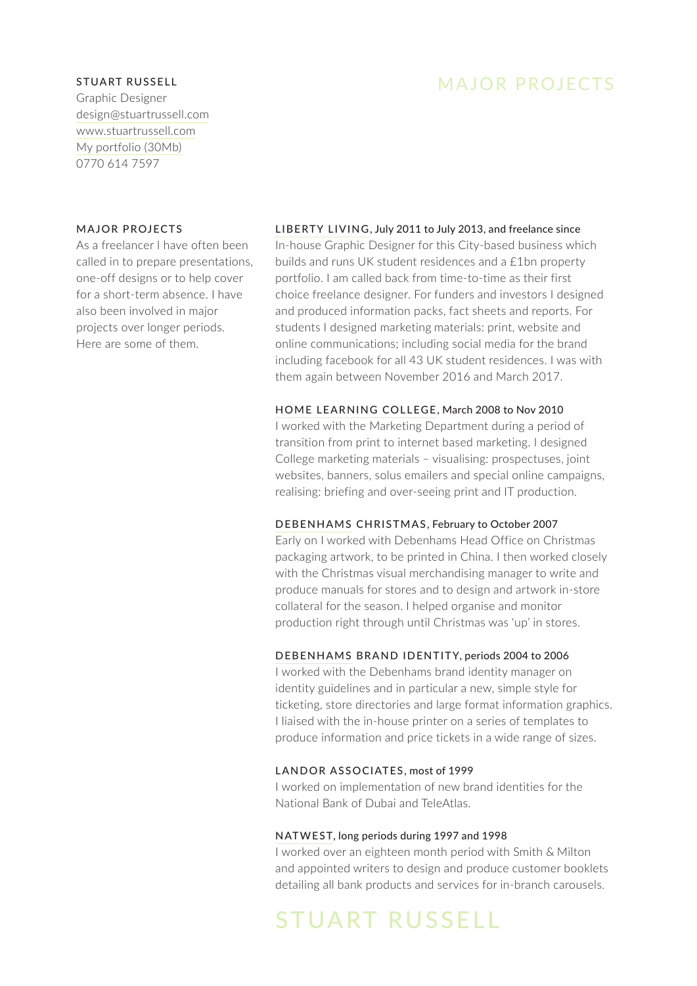Graphic Designer [design@stuartrussell.com](mailto:design@stuartrussell.com) [www.stuartrussell.com](http://www.stuartrussell.com) [My portfolio \(30Mb\)](https://stuartrussell2.files.wordpress.com/2017/02/stuart_russell_300dpi_portfolio_2017-02-28.pdf) 0770 614 7597

#### MAJOR PROJECTS

As a freelancer I have often been called in to prepare presentations, one-off designs or to help cover for a short-term absence. I have also been involved in major projects over longer periods. Here are some of them.

### [LIBERTY LIVING](https://stuartrussell2.wordpress.com/portfolio/liberty-living), July 2011 to July 2013, and freelance since

In-house Graphic Designer for this City-based business which builds and runs UK student residences and a £1bn property portfolio. I am called back from time-to-time as their first choice freelance designer. For funders and investors I designed and produced information packs, fact sheets and reports. For students I designed marketing materials: print, website and online communications; including social media for the brand including facebook for all 43 UK student residences. I was with them again between November 2016 and March 2017.

#### [HOME LEARNING COLLEGE](https://stuartrussell2.wordpress.com/portfolio/home-learning-college), March 2008 to Nov 2010

I worked with the Marketing Department during a period of transition from print to internet based marketing. I designed College marketing materials – visualising: prospectuses, joint websites, banners, solus emailers and special online campaigns, realising: briefing and over-seeing print and IT production.

#### [DEBENHAMS](https://stuartrussell2.wordpress.com/portfolio/debenhams) CHRISTMAS, February to October 2007

Early on I worked with Debenhams Head Office on Christmas packaging artwork, to be printed in China. I then worked closely with the Christmas visual merchandising manager to write and produce manuals for stores and to design and artwork in-store collateral for the season. I helped organise and monitor production right through until Christmas was 'up' in stores.

#### [DEBENHAMS](https://stuartrussell2.wordpress.com/portfolio/debenhams) BRAND IDENTITY, periods 2004 to 2006

I worked with the Debenhams brand identity manager on identity guidelines and in particular a new, simple style for ticketing, store directories and large format information graphics. I liaised with the in-house printer on a series of templates to produce information and price tickets in a wide range of sizes.

#### LANDOR ASSOCIATES, most of 1999

I worked on implementation of new brand identities for the National Bank of Dubai and TeleAtlas.

#### [NATWEST,](https://stuartrussell2.wordpress.com/portfolio/natwest) long periods during 1997 and 1998

I worked over an eighteen month period with Smith & Milton and appointed writers to design and produce customer booklets detailing all bank products and services for in-branch carousels.

## STUART RUSSELL

### MAJOR PROJECTS